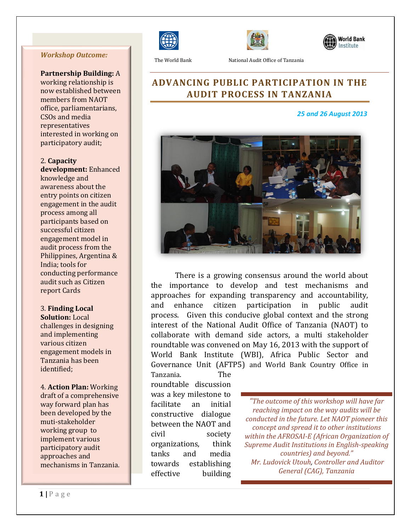#### *Workshop Outcome:*

**Partnership Building:** A

working relationship is now established between members from NAOT office, parliamentarians, CSOs and media representatives interested in working on participatory audit;

2. **Capacity development:** Enhanced knowledge and awareness about the entry points on citizen engagement in the audit process among all participants based on successful citizen engagement model in audit process from the Philippines, Argentina & India; tools for conducting performance audit such as Citizen report Cards

#### 3. **Finding Local**

**Solution:** Local challenges in designing and implementing various citizen engagement models in Tanzania has been identified;

4. **Action Plan:** Working draft of a comprehensive way forward plan has been developed by the muti-stakeholder working group to implement various participatory audit approaches and mechanisms in Tanzania.







The World Bank National Audit Office of Tanzania

## **ADVANCING PUBLIC PARTICIPATION IN THE AUDIT PROCESS IN TANZANIA**

#### *25 and 26 August 2013*



There is a growing consensus around the world about the importance to develop and test mechanisms and approaches for expanding transparency and accountability, and enhance citizen participation in public audit process. Given this conducive global context and the strong interest of the National Audit Office of Tanzania (NAOT) to collaborate with demand side actors, a multi stakeholder roundtable was convened on May 16, 2013 with the support of World Bank Institute (WBI), Africa Public Sector and Governance Unit (AFTP5) and World Bank Country Office in

Tanzania. The roundtable discussion was a key milestone to facilitate an initial constructive dialogue between the NAOT and civil society organizations, think tanks and media towards establishing effective building

*"The outcome of this workshop will have far reaching impact on the way audits will be conducted in the future. Let NAOT pioneer this concept and spread it to other institutions within the AFROSAI-E (African Organization of Supreme Audit Institutions in English-speaking countries) and beyond." Mr. Ludovick Utouh, Controller and Auditor General (CAG), Tanzania*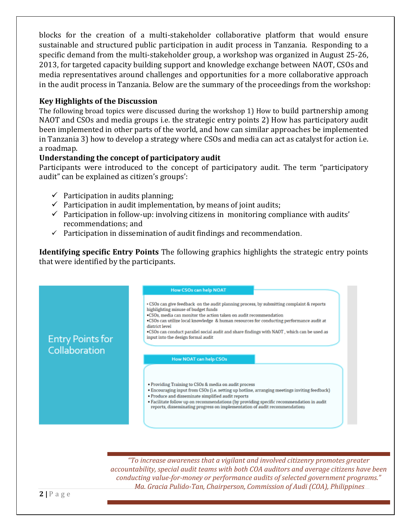blocks for the creation of a multi-stakeholder collaborative platform that would ensure sustainable and structured public participation in audit process in Tanzania. Responding to a specific demand from the multi-stakeholder group, a workshop was organized in August 25-26, 2013, for targeted capacity building support and knowledge exchange between NAOT, CSOs and media representatives around challenges and opportunities for a more collaborative approach in the audit process in Tanzania. Below are the summary of the proceedings from the workshop:

### **Key Highlights of the Discussion**

The following broad topics were discussed during the workshop 1) How to build partnership among NAOT and CSOs and media groups i.e. the strategic entry points 2) How has participatory audit been implemented in other parts of the world, and how can similar approaches be implemented in Tanzania 3) how to develop a strategy where CSOs and media can act as catalyst for action i.e. a roadmap.

### **Understanding the concept of participatory audit**

Participants were introduced to the concept of participatory audit. The term "participatory audit" can be explained as citizen's groups':

- $\checkmark$  Participation in audits planning;
- $\checkmark$  Participation in audit implementation, by means of joint audits;
- $\checkmark$  Participation in follow-up: involving citizens in monitoring compliance with audits' recommendations; and
- $\checkmark$  Participation in dissemination of audit findings and recommendation.

**Identifying specific Entry Points** The following graphics highlights the strategic entry points that were identified by the participants.



*"To increase awareness that a vigilant and involved citizenry promotes greater accountability, special audit teams with both COA auditors and average citizens have been conducting value-for-money or performance audits of selected government programs." Ma. Gracia Pulido-Tan, Chairperson, Commission of Audi (COA), Philippines*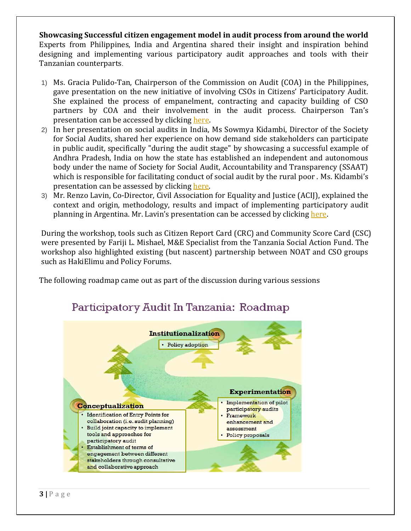**Showcasing Successful citizen engagement model in audit process from around the world** Experts from Philippines, India and Argentina shared their insight and inspiration behind designing and implementing various participatory audit approaches and tools with their Tanzanian counterparts.

- 1) Ms. Gracia Pulido-Tan, Chairperson of the Commission on Audit (COA) in the Philippines, gave presentation on the new initiative of involving CSOs in Citizens' Participatory Audit. She explained the process of empanelment, contracting and capacity building of CSO partners by COA and their involvement in the audit process. Chairperson Tan's presentation can be accessed by clicking [here.](file://wb.ad.worldbank.org/UFS$/wb424165/RedirectedFolders/Desktop/WBI%20Tanzania%20CPA%20Presentation%20V2.pptx)
- 2) In her presentation on social audits in India, Ms Sowmya Kidambi, Director of the Society for Social Audits, shared her experience on how demand side stakeholders can participate in public audit, specifically "during the audit stage" by showcasing a successful example of Andhra Pradesh, India on how the state has established an independent and autonomous body under the name of Society for Social Audit, Accountability and Transparency (SSAAT) which is responsible for facilitating conduct of social audit by the rural poor . Ms. Kidambi's presentation can be assessed by clicking [here.](file://wb.ad.worldbank.org/UFS$/wb424165/RedirectedFolders/Desktop/Social%20Audit%20Tanzania.pptx)
- 3) Mr. Renzo Lavin, Co-Director, Civil Association for Equality and Justice (ACIJ), explained the context and origin, methodology, results and impact of implementing participatory audit planning in Argentina. Mr. Lavin's presentation can be accessed by clicking [here.](file://wb.ad.worldbank.org/UFS$/wb424165/RedirectedFolders/Desktop/Participatory%20planning.pptx)

During the workshop, tools such as Citizen Report Card (CRC) and Community Score Card (CSC) were presented by Fariji L. Mishael, M&E Specialist from the Tanzania Social Action Fund. The workshop also highlighted existing (but nascent) partnership between NOAT and CSO groups such as HakiElimu and Policy Forums.

The following roadmap came out as part of the discussion during various sessions



# Participatory Audit In Tanzania: Roadmap